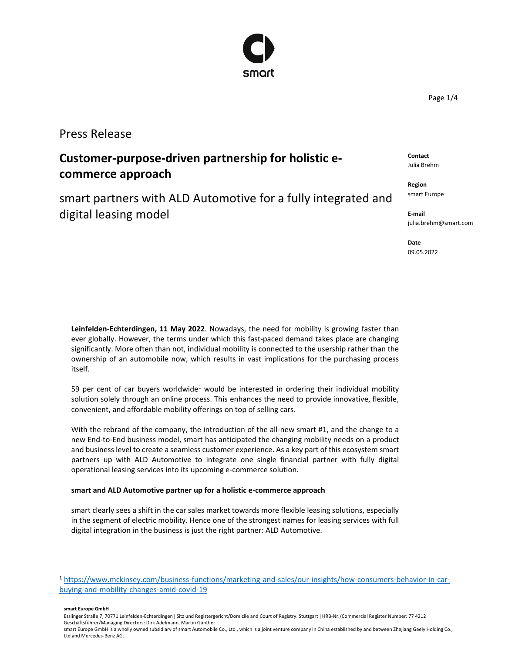## Press Release

# **Customer-purpose-driven partnership for holistic ecommerce approach**

smart partners with ALD Automotive for a fully integrated and digital leasing model

**Leinfelden-Echterdingen, 11 May 2022**. Nowadays, the need for mobility is growing faster than ever globally. However, the terms under which this fast-paced demand takes place are changing significantly. More often than not, individual mobility is connected to the usership rather than the ownership of an automobile now, which results in vast implications for the purchasing process itself.

59 per cent of car buyers worldwide<sup>1</sup> would be interested in ordering their individual mobility solution solely through an online process. This enhances the need to provide innovative, flexible, convenient, and affordable mobility offerings on top of selling cars.

With the rebrand of the company, the introduction of the all-new smart #1, and the change to a new End-to-End business model, smart has anticipated the changing mobility needs on a product and business level to create a seamless customer experience. As a key part of this ecosystem smart partners up with ALD Automotive to integrate one single financial partner with fully digital operational leasing services into its upcoming e-commerce solution.

## **smart and ALD Automotive partner up for a holistic e-commerce approach**

smart clearly sees a shift in the car sales market towards more flexible leasing solutions, especially in the segment of electric mobility. Hence one of the strongest names for leasing services with full digital integration in the business is just the right partner: ALD Automotive.

smart Europe GmbH is a wholly owned subsidiary of smart Automobile Co., Ltd., which is a joint venture company in China established by and between Zhejiang Geely Holding Co., Ltd and Mercedes-Benz AG.

**Contact** Julia Brehm

**Region** smart Europe

**E-mail** julia.brehm@smart.com

**Date** 09.05.2022



Page 1/4

<sup>1</sup> [https://www.mckinsey.com/business-functions/marketing-and-sales/our-insights/how-consumers-behavior-in-car](https://www.mckinsey.com/business-functions/marketing-and-sales/our-insights/how-consumers-behavior-in-car-buying-and-mobility-changes-amid-covid-19https:/www.mckinsey.com/business-functions/marketing-and-sales/our-insights/how-consumers-behavior-in-car-buying-and-mobility-changes-amid-covid-19)[buying-and-mobility-changes-amid-covid-19](https://www.mckinsey.com/business-functions/marketing-and-sales/our-insights/how-consumers-behavior-in-car-buying-and-mobility-changes-amid-covid-19https:/www.mckinsey.com/business-functions/marketing-and-sales/our-insights/how-consumers-behavior-in-car-buying-and-mobility-changes-amid-covid-19)

**smart Europe GmbH**

Esslinger Straße 7, 70771 Leinfelden-Echterdingen | Sitz und Registergericht/Domicile and Court of Registry: Stuttgart | HRB-Nr./Commercial Register Number: 77 4212 Geschäftsführer/Managing Directors: Dirk Adelmann, Martin Günther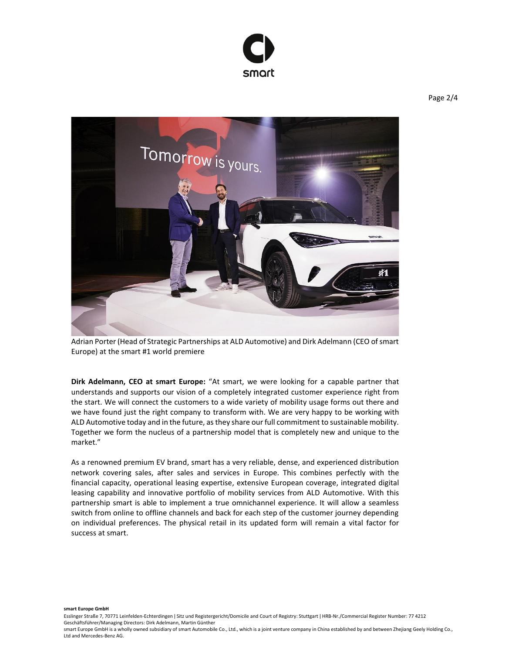



Adrian Porter (Head of Strategic Partnerships at ALD Automotive) and Dirk Adelmann (CEO of smart Europe) at the smart #1 world premiere

**Dirk Adelmann, CEO at smart Europe:** "At smart, we were looking for a capable partner that understands and supports our vision of a completely integrated customer experience right from the start. We will connect the customers to a wide variety of mobility usage forms out there and we have found just the right company to transform with. We are very happy to be working with ALD Automotive today and in the future, as they share our full commitment to sustainable mobility. Together we form the nucleus of a partnership model that is completely new and unique to the market."

As a renowned premium EV brand, smart has a very reliable, dense, and experienced distribution network covering sales, after sales and services in Europe. This combines perfectly with the financial capacity, operational leasing expertise, extensive European coverage, integrated digital leasing capability and innovative portfolio of mobility services from ALD Automotive. With this partnership smart is able to implement a true omnichannel experience. It will allow a seamless switch from online to offline channels and back for each step of the customer journey depending on individual preferences. The physical retail in its updated form will remain a vital factor for success at smart.

**smart Europe GmbH**

Esslinger Straße 7, 70771 Leinfelden-Echterdingen ǀ Sitz und Registergericht/Domicile and Court of Registry: Stuttgart ǀ HRB-Nr./Commercial Register Number: 77 4212 Geschäftsführer/Managing Directors: Dirk Adelmann, Martin Günther

smart Europe GmbH is a wholly owned subsidiary of smart Automobile Co., Ltd., which is a joint venture company in China established by and between Zhejiang Geely Holding Co., Ltd and Mercedes-Benz AG.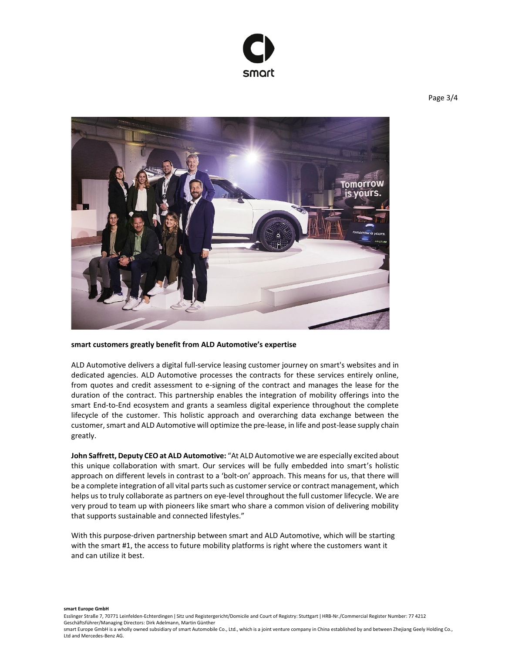



### **smart customers greatly benefit from ALD Automotive's expertise**

ALD Automotive delivers a digital full-service leasing customer journey on smart's websites and in dedicated agencies. ALD Automotive processes the contracts for these services entirely online, from quotes and credit assessment to e-signing of the contract and manages the lease for the duration of the contract. This partnership enables the integration of mobility offerings into the smart End-to-End ecosystem and grants a seamless digital experience throughout the complete lifecycle of the customer. This holistic approach and overarching data exchange between the customer, smart and ALD Automotive will optimize the pre-lease, in life and post-lease supply chain greatly.

**John Saffrett, Deputy CEO at ALD Automotive:** "At ALD Automotive we are especially excited about this unique collaboration with smart. Our services will be fully embedded into smart's holistic approach on different levels in contrast to a 'bolt-on' approach. This means for us, that there will be a complete integration of all vital parts such as customer service or contract management, which helps us to truly collaborate as partners on eye-level throughout the full customer lifecycle. We are very proud to team up with pioneers like smart who share a common vision of delivering mobility that supports sustainable and connected lifestyles."

With this purpose-driven partnership between smart and ALD Automotive, which will be starting with the smart #1, the access to future mobility platforms is right where the customers want it and can utilize it best.

**smart Europe GmbH**

smart Europe GmbH is a wholly owned subsidiary of smart Automobile Co., Ltd., which is a joint venture company in China established by and between Zhejiang Geely Holding Co., Ltd and Mercedes-Benz AG.

Esslinger Straße 7, 70771 Leinfelden-Echterdingen ǀ Sitz und Registergericht/Domicile and Court of Registry: Stuttgart ǀ HRB-Nr./Commercial Register Number: 77 4212 Geschäftsführer/Managing Directors: Dirk Adelmann, Martin Günther